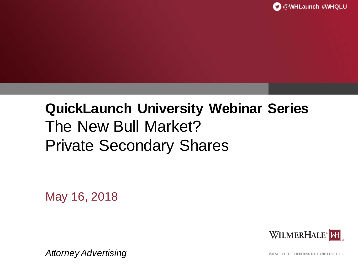# **QuickLaunch University Webinar Series** The New Bull Market? Private Secondary Shares

May 16, 2018

WILMERHALE<sup>®</sup>NH

*Attorney Advertising*

WILMER CUTLER PICKERING HALE AND DORR LLP ®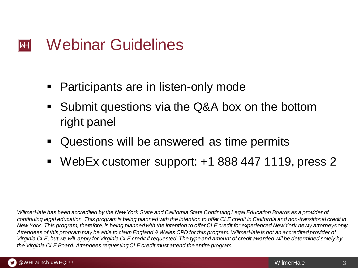#### Webinar Guidelines  $|\mathsf{H}|$

- Participants are in listen-only mode
- Submit questions via the Q&A box on the bottom right panel
- Questions will be answered as time permits
- WebEx customer support: +1 888 447 1119, press 2

*WilmerHale has been accredited by the New York State and California State Continuing Legal Education Boards as a provider of continuing legal education. This program is being planned with the intention to offer CLE credit in California and non-transitional credit in New York. This program, therefore, is being planned with the intention to offer CLE credit for experienced New York newly attorneys only. Attendees of this program may be able to claim England & Wales CPD for this program. WilmerHale is not an accredited provider of Virginia CLE, but we will apply for Virginia CLE credit if requested. The type and amount of credit awarded will be determined solely by the Virginia CLE Board. Attendees requesting CLE credit must attend the entire program.*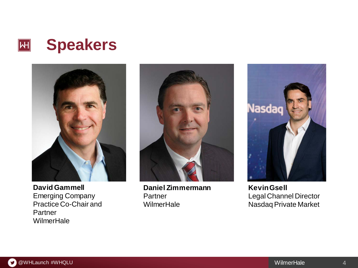



**David Gammell** Emerging Company Practice Co-Chair and **Partner WilmerHale** 



**Daniel Zimmermann Partner WilmerHale** 



**Kevin Gsell** Legal Channel Director Nasdaq Private Market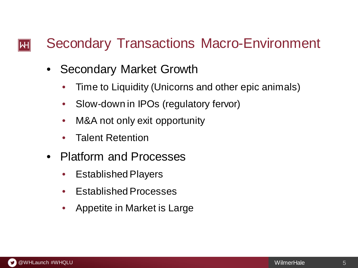#### Secondary Transactions Macro-Environment  $\mathsf{I}\mathsf{H}\mathsf{I}$

- Secondary Market Growth
	- Time to Liquidity (Unicorns and other epic animals)
	- Slow-down in IPOs (regulatory fervor)
	- M&A not only exit opportunity
	- Talent Retention
- Platform and Processes
	- Established Players
	- Established Processes
	- Appetite in Market is Large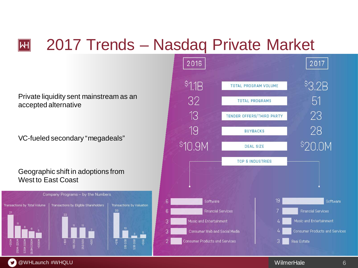# 2017 Trends – Nasdaq Private Market

Private liquidity sent mainstream as an accepted alternative

 $|\mathsf{H}|$ 

VC-fueled secondary "megadeals"

#### Geographic shift in adoptions from West to East Coast



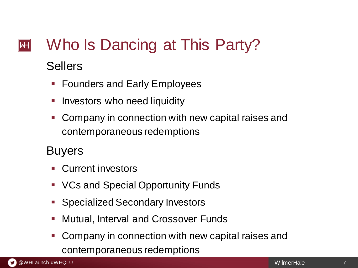## Who Is Dancing at This Party?  $|\mathsf{H}|$

## **Sellers**

- Founders and Early Employees
- Investors who need liquidity
- Company in connection with new capital raises and contemporaneous redemptions

## Buyers

- **Current investors**
- **VCs and Special Opportunity Funds**
- **Specialized Secondary Investors**
- Mutual, Interval and Crossover Funds
- Company in connection with new capital raises and contemporaneous redemptions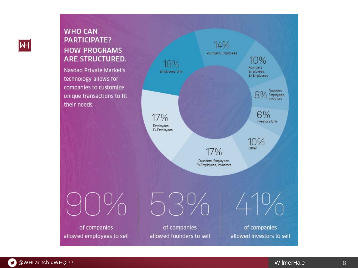#### **WHO CAN PARTICIPATE? HOW PROGRAMS ARE STRUCTURED.**

Nasdaq Private Market's technology allows for companies to customize unique transactions to fit their needs.



of companies allowed employees to sell 53%

of companies allowed founders to sell

of companies allowed investors to sell

41%

 $|\mathsf{H}|$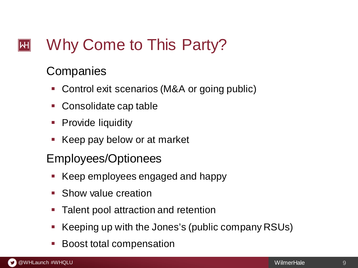#### Why Come to This Party?  $|\mathsf{H}|$

## **Companies**

- Control exit scenarios (M&A or going public)
- **Consolidate cap table**
- Provide liquidity
- Keep pay below or at market
- Employees/Optionees
	- Keep employees engaged and happy
	- Show value creation
	- Talent pool attraction and retention
	- Keeping up with the Jones's (public company RSUs)
	- Boost total compensation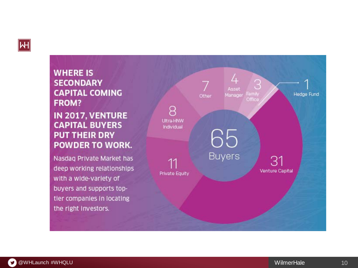

#### **WHERE IS SECONDARY CAPITAL COMING FROM?** IN 2017, VENTURE **CAPITAL BUYERS PUT THEIR DRY POWDER TO WORK.**

Nasdaq Private Market has deep working relationships with a wide-variety of buyers and supports toptier companies in locating the right investors.

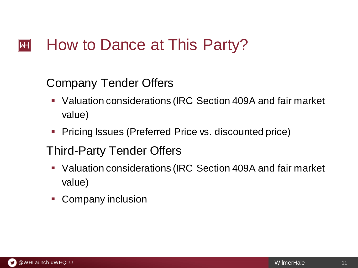#### How to Dance at This Party?  $|\mathsf{H}|$

## Company Tender Offers

- Valuation considerations (IRC Section 409A and fair market value)
- **Pricing Issues (Preferred Price vs. discounted price)**

## Third-Party Tender Offers

- Valuation considerations (IRC Section 409A and fair market value)
- Company inclusion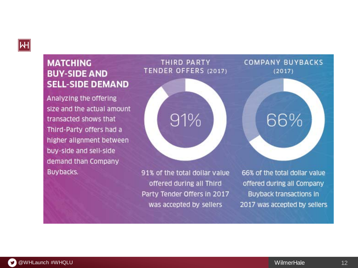

#### **MATCHING BUY-SIDE AND SELL-SIDE DEMAND**

Analyzing the offering size and the actual amount transacted shows that Third-Party offers had a higher alignment between buy-side and sell-side demand than Company Buybacks.

#### **THIRD PARTY** TENDER OFFERS (2017)

91%

91% of the total dollar value offered during all Third Party Tender Offers in 2017 was accepted by sellers

66% of the total dollar value offered during all Company Buyback transactions in 2017 was accepted by sellers

**COMPANY BUYBACKS** 

 $(2017)$ 

66%

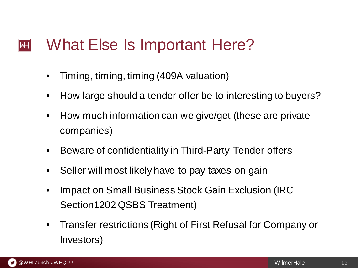#### What Else Is Important Here?  $|\mathsf{H}|$

- Timing, timing, timing (409A valuation)
- How large should a tender offer be to interesting to buyers?
- How much information can we give/get (these are private companies)
- Beware of confidentiality in Third-Party Tender offers
- Seller will most likely have to pay taxes on gain
- Impact on Small Business Stock Gain Exclusion (IRC Section1202 QSBS Treatment)
- Transfer restrictions (Right of First Refusal for Company or Investors)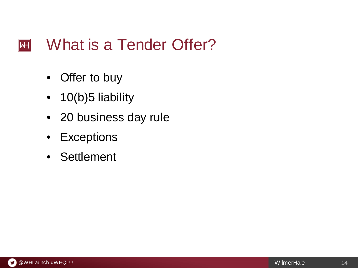#### What is a Tender Offer?  $\overline{H}$

- Offer to buy
- 10(b)5 liability
- 20 business day rule
- Exceptions
- Settlement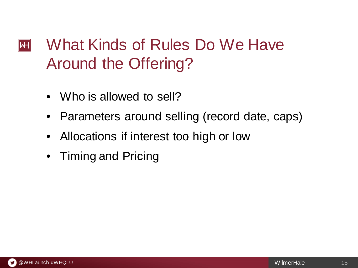## What Kinds of Rules Do We Have  $|\mathsf{H}|$ Around the Offering?

- Who is allowed to sell?
- Parameters around selling (record date, caps)
- Allocations if interest too high or low
- Timing and Pricing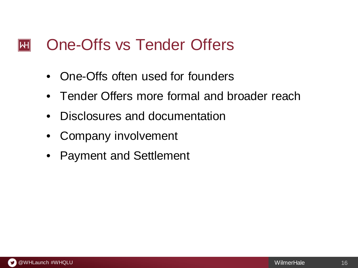#### One-Offs vs Tender Offers  $|\mathsf{H}|$

- One-Offs often used for founders
- Tender Offers more formal and broader reach
- Disclosures and documentation
- Company involvement
- Payment and Settlement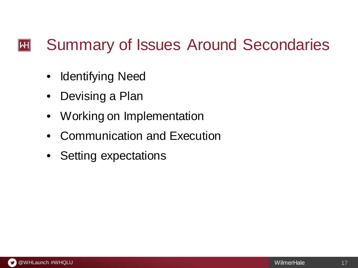#### Summary of Issues Around Secondaries  $|\mathsf{H}|$

- Identifying Need
- Devising a Plan
- Working on Implementation
- Communication and Execution
- Setting expectations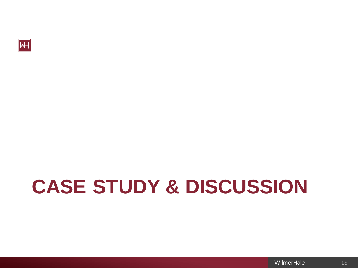

# **CASE STUDY & DISCUSSION**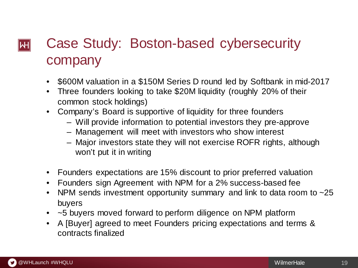### Case Study: Boston-based cybersecurity  $\left\Vert \mathsf{H}\right\Vert$ company

- \$600M valuation in a \$150M Series D round led by Softbank in mid-2017
- Three founders looking to take \$20M liquidity (roughly 20% of their common stock holdings)
- Company's Board is supportive of liquidity for three founders
	- Will provide information to potential investors they pre-approve
	- Management will meet with investors who show interest
	- Major investors state they will not exercise ROFR rights, although won't put it in writing
- Founders expectations are 15% discount to prior preferred valuation
- Founders sign Agreement with NPM for a 2% success-based fee
- NPM sends investment opportunity summary and link to data room to  $\sim$  25 buyers
- ~5 buyers moved forward to perform diligence on NPM platform
- A [Buyer] agreed to meet Founders pricing expectations and terms & contracts finalized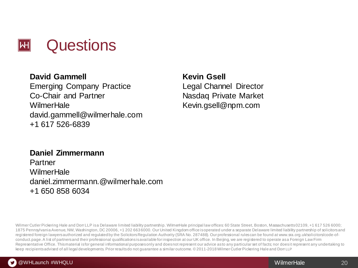

#### **David Gammell** Emerging Company Practice Co-Chair and Partner **WilmerHale** david.gammell@wilmerhale.com +1 617 526-6839

#### **Kevin Gsell**

Legal Channel Director Nasdaq Private Market Kevin.gsell@npm.com

#### **Daniel Zimmermann**

Partner WilmerHale daniel.zimmermann.@wilmerhale.com +1 650 858 6034

Wilmer Cutler Pickering Hale and Dorr LLP is a Delaware limited liability partnership. WilmerHale principal law offices: 60 State Street, Boston, Massachusetts 02109, +1 617 526 6000; 1875 Pennsylvania Avenue, NW, Washington, DC 20006, +1 202 663 6000. Our United Kingdom office is operated under a separate Delaware limited liability partnership of solicitors and registered foreign lawyers authorized and regulated by the Solicitors Regulation Authority (SRA No. 287488). Our professional rules can be found at www.sra.org.uk/solicitors/code-ofconduct.page. A list of partners and their professional qualifications is available for inspection at our UK office. In Beijing, we are registered to operate as a Foreign Law Firm Representative Office. This material is for general informational purposes only and does not represent our advice as to any particular set of facts; nor does it represent any undertaking to keep recipients advised of all legal developments. Prior results do not guarantee a similar outcome. © 2011-2018 Wilmer Cutler Pickering Hale and Dorr LLP